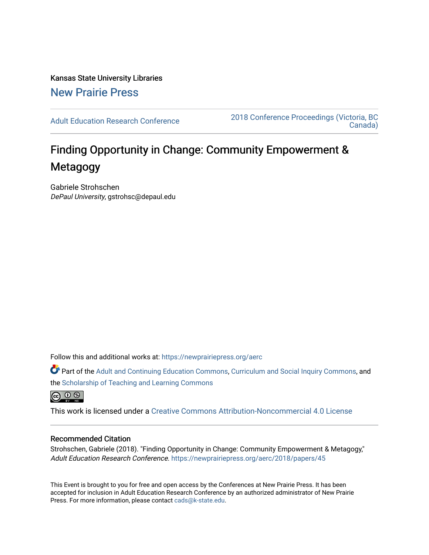Kansas State University Libraries [New Prairie Press](https://newprairiepress.org/) 

[Adult Education Research Conference](https://newprairiepress.org/aerc) [2018 Conference Proceedings \(Victoria, BC](https://newprairiepress.org/aerc/2018)  [Canada\)](https://newprairiepress.org/aerc/2018) 

# Finding Opportunity in Change: Community Empowerment & Metagogy

Gabriele Strohschen DePaul University, gstrohsc@depaul.edu

Follow this and additional works at: [https://newprairiepress.org/aerc](https://newprairiepress.org/aerc?utm_source=newprairiepress.org%2Faerc%2F2018%2Fpapers%2F45&utm_medium=PDF&utm_campaign=PDFCoverPages)

Part of the [Adult and Continuing Education Commons,](http://network.bepress.com/hgg/discipline/1375?utm_source=newprairiepress.org%2Faerc%2F2018%2Fpapers%2F45&utm_medium=PDF&utm_campaign=PDFCoverPages) [Curriculum and Social Inquiry Commons,](http://network.bepress.com/hgg/discipline/1038?utm_source=newprairiepress.org%2Faerc%2F2018%2Fpapers%2F45&utm_medium=PDF&utm_campaign=PDFCoverPages) and the [Scholarship of Teaching and Learning Commons](http://network.bepress.com/hgg/discipline/1328?utm_source=newprairiepress.org%2Faerc%2F2018%2Fpapers%2F45&utm_medium=PDF&utm_campaign=PDFCoverPages)

 $\circledcirc$ 

This work is licensed under a [Creative Commons Attribution-Noncommercial 4.0 License](https://creativecommons.org/licenses/by-nc/4.0/)

# Recommended Citation

Strohschen, Gabriele (2018). "Finding Opportunity in Change: Community Empowerment & Metagogy," Adult Education Research Conference. <https://newprairiepress.org/aerc/2018/papers/45>

This Event is brought to you for free and open access by the Conferences at New Prairie Press. It has been accepted for inclusion in Adult Education Research Conference by an authorized administrator of New Prairie Press. For more information, please contact [cads@k-state.edu.](mailto:cads@k-state.edu)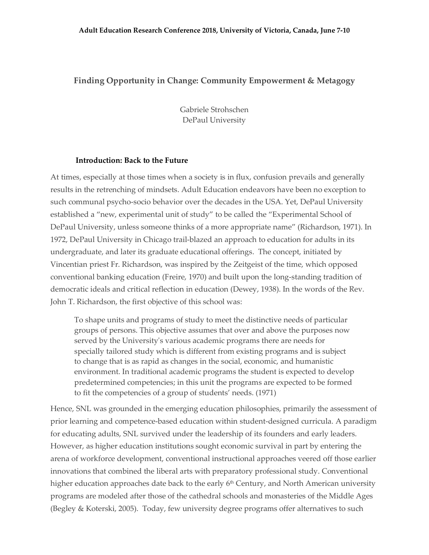# **Finding Opportunity in Change: Community Empowerment & Metagogy**

Gabriele Strohschen DePaul University

### **Introduction: Back to the Future**

At times, especially at those times when a society is in flux, confusion prevails and generally results in the retrenching of mindsets. Adult Education endeavors have been no exception to such communal psycho-socio behavior over the decades in the USA. Yet, DePaul University established a "new, experimental unit of study" to be called the "Experimental School of DePaul University, unless someone thinks of a more appropriate name" (Richardson, 1971). In 1972, DePaul University in Chicago trail-blazed an approach to education for adults in its undergraduate, and later its graduate educational offerings. The concept, initiated by Vincentian priest Fr. Richardson, was inspired by the Zeitgeist of the time, which opposed conventional banking education (Freire, 1970) and built upon the long-standing tradition of democratic ideals and critical reflection in education (Dewey, 1938). In the words of the Rev. John T. Richardson, the first objective of this school was:

To shape units and programs of study to meet the distinctive needs of particular groups of persons. This objective assumes that over and above the purposes now served by the University's various academic programs there are needs for specially tailored study which is different from existing programs and is subject to change that is as rapid as changes in the social, economic, and humanistic environment. In traditional academic programs the student is expected to develop predetermined competencies; in this unit the programs are expected to be formed to fit the competencies of a group of students' needs. (1971)

Hence, SNL was grounded in the emerging education philosophies, primarily the assessment of prior learning and competence-based education within student-designed curricula. A paradigm for educating adults, SNL survived under the leadership of its founders and early leaders. However, as higher education institutions sought economic survival in part by entering the arena of workforce development, conventional instructional approaches veered off those earlier innovations that combined the liberal arts with preparatory professional study. Conventional higher education approaches date back to the early 6<sup>th</sup> Century, and North American university programs are modeled after those of the cathedral schools and monasteries of the Middle Ages (Begley & Koterski, 2005). Today, few university degree programs offer alternatives to such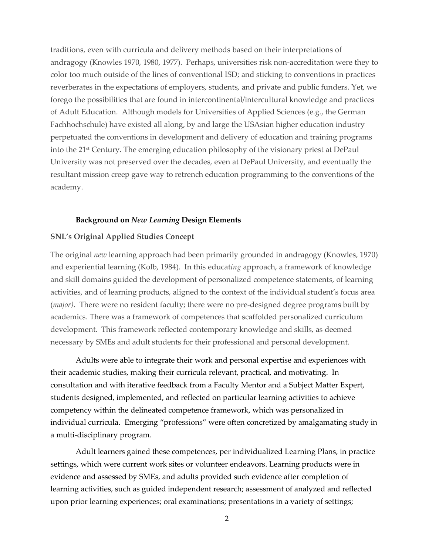traditions, even with curricula and delivery methods based on their interpretations of andragogy (Knowles 1970, 1980, 1977). Perhaps, universities risk non-accreditation were they to color too much outside of the lines of conventional ISD; and sticking to conventions in practices reverberates in the expectations of employers, students, and private and public funders. Yet, we forego the possibilities that are found in intercontinental/intercultural knowledge and practices of Adult Education. Although models for Universities of Applied Sciences (e.g., the German Fachhochschule) have existed all along, by and large the USAsian higher education industry perpetuated the conventions in development and delivery of education and training programs into the 21<sup>st</sup> Century. The emerging education philosophy of the visionary priest at DePaul University was not preserved over the decades, even at DePaul University, and eventually the resultant mission creep gave way to retrench education programming to the conventions of the academy.

### **Background on** *New Learning* **Design Elements**

# **SNL's Original Applied Studies Concept**

The original *new* learning approach had been primarily grounded in andragogy (Knowles, 1970) and experiential learning (Kolb, 1984). In this educat*ing* approach, a framework of knowledge and skill domains guided the development of personalized competence statements, of learning activities, and of learning products, aligned to the context of the individual student's focus area (*major*). There were no resident faculty; there were no pre-designed degree programs built by academics. There was a framework of competences that scaffolded personalized curriculum development. This framework reflected contemporary knowledge and skills, as deemed necessary by SMEs and adult students for their professional and personal development.

Adults were able to integrate their work and personal expertise and experiences with their academic studies, making their curricula relevant, practical, and motivating. In consultation and with iterative feedback from a Faculty Mentor and a Subject Matter Expert, students designed, implemented, and reflected on particular learning activities to achieve competency within the delineated competence framework, which was personalized in individual curricula. Emerging "professions" were often concretized by amalgamating study in a multi-disciplinary program.

Adult learners gained these competences, per individualized Learning Plans, in practice settings, which were current work sites or volunteer endeavors. Learning products were in evidence and assessed by SMEs, and adults provided such evidence after completion of learning activities, such as guided independent research; assessment of analyzed and reflected upon prior learning experiences; oral examinations; presentations in a variety of settings;

2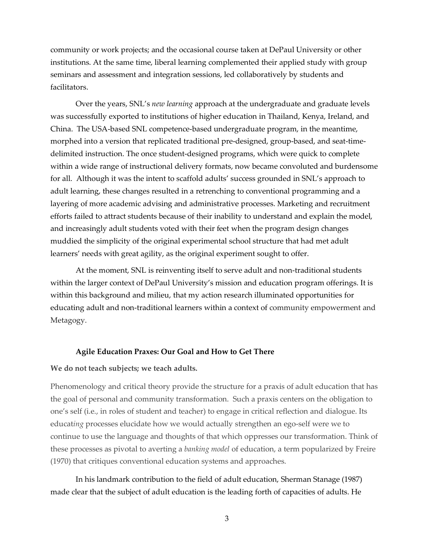community or work projects; and the occasional course taken at DePaul University or other institutions. At the same time, liberal learning complemented their applied study with group seminars and assessment and integration sessions, led collaboratively by students and facilitators.

Over the years, SNL's *new learning* approach at the undergraduate and graduate levels was successfully exported to institutions of higher education in Thailand, Kenya, Ireland, and China. The USA-based SNL competence-based undergraduate program, in the meantime, morphed into a version that replicated traditional pre-designed, group-based, and seat-timedelimited instruction. The once student-designed programs, which were quick to complete within a wide range of instructional delivery formats, now became convoluted and burdensome for all. Although it was the intent to scaffold adults' success grounded in SNL's approach to adult learning, these changes resulted in a retrenching to conventional programming and a layering of more academic advising and administrative processes. Marketing and recruitment efforts failed to attract students because of their inability to understand and explain the model, and increasingly adult students voted with their feet when the program design changes muddied the simplicity of the original experimental school structure that had met adult learners' needs with great agility, as the original experiment sought to offer.

At the moment, SNL is reinventing itself to serve adult and non-traditional students within the larger context of DePaul University's mission and education program offerings. It is within this background and milieu, that my action research illuminated opportunities for educating adult and non-traditional learners within a context of community empowerment and Metagogy.

### **Agile Education Praxes: Our Goal and How to Get There**

### **We do not teach subjects; we teach adults.**

Phenomenology and critical theory provide the structure for a praxis of adult education that has the goal of personal and community transformation. Such a praxis centers on the obligation to one's self (i.e., in roles of student and teacher) to engage in critical reflection and dialogue. Its educat*ing* processes elucidate how we would actually strengthen an ego-self were we to continue to use the language and thoughts of that which oppresses our transformation. Think of these processes as pivotal to averting a *banking model* of education, a term popularized by Freire (1970) that critiques conventional education systems and approaches.

In his landmark contribution to the field of adult education, Sherman Stanage (1987) made clear that the subject of adult education is the leading forth of capacities of adults. He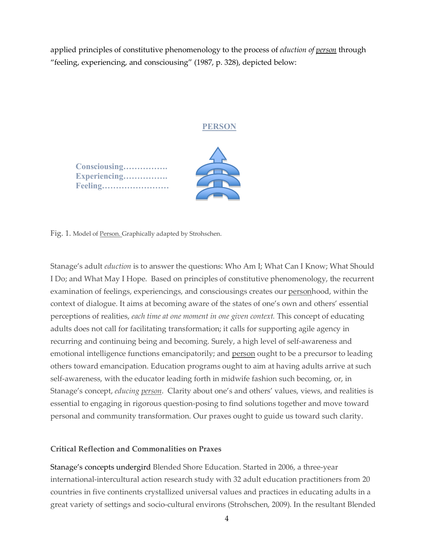applied principles of constitutive phenomenology to the process of *eduction of person* through "feeling, experiencing, and consciousing" (1987, p. 328), depicted below:

# **PERSON**

**Consciousing……………. Experiencing……………. Feeling……………………**



Fig. 1. Model of Person. Graphically adapted by Strohschen.

Stanage's adult *eduction* is to answer the questions: Who Am I; What Can I Know; What Should I Do; and What May I Hope. Based on principles of constitutive phenomenology, the recurrent examination of feelings, experiencings, and consciousings creates our personhood, within the context of dialogue. It aims at becoming aware of the states of one's own and others' essential perceptions of realities, *each time at one moment in one given context.* This concept of educating adults does not call for facilitating transformation; it calls for supporting agile agency in recurring and continuing being and becoming. Surely, a high level of self-awareness and emotional intelligence functions emancipatorily; and person ought to be a precursor to leading others toward emancipation. Education programs ought to aim at having adults arrive at such self-awareness, with the educator leading forth in midwife fashion such becoming, or, in Stanage's concept, *educing person*. Clarity about one's and others' values, views, and realities is essential to engaging in rigorous question-posing to find solutions together and move toward personal and community transformation. Our praxes ought to guide us toward such clarity.

# **Critical Reflection and Commonalities on Praxes**

Stanage's concepts undergird Blended Shore Education. Started in 2006, a three-year international-intercultural action research study with 32 adult education practitioners from 20 countries in five continents crystallized universal values and practices in educating adults in a great variety of settings and socio-cultural environs (Strohschen, 2009). In the resultant Blended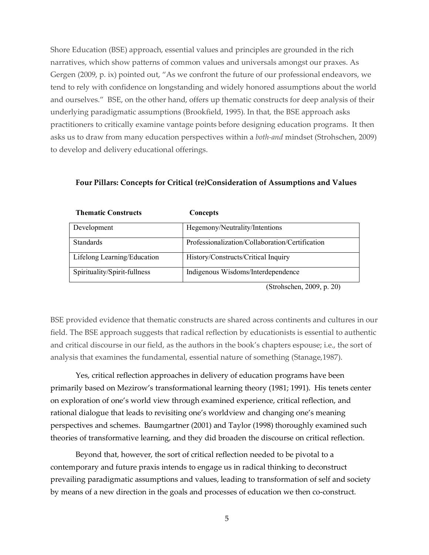Shore Education (BSE) approach, essential values and principles are grounded in the rich narratives, which show patterns of common values and universals amongst our praxes. As Gergen (2009, p. ix) pointed out, "As we confront the future of our professional endeavors, we tend to rely with confidence on longstanding and widely honored assumptions about the world and ourselves." BSE, on the other hand, offers up thematic constructs for deep analysis of their underlying paradigmatic assumptions (Brookfield, 1995). In that, the BSE approach asks practitioners to critically examine vantage points before designing education programs. It then asks us to draw from many education perspectives within a *both-and* mindset (Strohschen, 2009) to develop and delivery educational offerings.

| THUMANU CONSU UUS            | Concepts                                        |
|------------------------------|-------------------------------------------------|
| Development                  | Hegemony/Neutrality/Intentions                  |
| <b>Standards</b>             | Professionalization/Collaboration/Certification |
| Lifelong Learning/Education  | History/Constructs/Critical Inquiry             |
| Spirituality/Spirit-fullness | Indigenous Wisdoms/Interdependence              |

**Thematic Constructs Concepts**

**Four Pillars: Concepts for Critical (re)Consideration of Assumptions and Values**

(Strohschen, 2009, p. 20)

BSE provided evidence that thematic constructs are shared across continents and cultures in our field. The BSE approach suggests that radical reflection by educationists is essential to authentic and critical discourse in our field, as the authors in the book's chapters espouse; i.e., the sort of analysis that examines the fundamental, essential nature of something (Stanage,1987).

Yes, critical reflection approaches in delivery of education programs have been primarily based on Mezirow's transformational learning theory (1981; 1991). His tenets center on exploration of one's world view through examined experience, critical reflection, and rational dialogue that leads to revisiting one's worldview and changing one's meaning perspectives and schemes. Baumgartner (2001) and Taylor (1998) thoroughly examined such theories of transformative learning, and they did broaden the discourse on critical reflection.

Beyond that, however, the sort of critical reflection needed to be pivotal to a contemporary and future praxis intends to engage us in radical thinking to deconstruct prevailing paradigmatic assumptions and values, leading to transformation of self and society by means of a new direction in the goals and processes of education we then co-construct.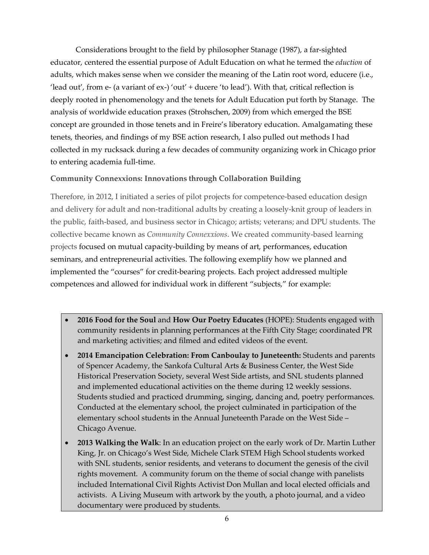Considerations brought to the field by philosopher Stanage (1987), a far-sighted educator, centered the essential purpose of Adult Education on what he termed the *eduction* of adults, which makes sense when we consider the meaning of the Latin root word, educere (i.e., 'lead out', from e- (a variant of  $ex$ -) 'out' + ducere 'to lead'). With that, critical reflection is deeply rooted in phenomenology and the tenets for Adult Education put forth by Stanage. The analysis of worldwide education praxes (Strohschen, 2009) from which emerged the BSE concept are grounded in those tenets and in Freire's liberatory education. Amalgamating these tenets, theories, and findings of my BSE action research, I also pulled out methods I had collected in my rucksack during a few decades of community organizing work in Chicago prior to entering academia full-time.

# **Community Connexxions: Innovations through Collaboration Building**

Therefore, in 2012, I initiated a series of pilot projects for competence-based education design and delivery for adult and non-traditional adults by creating a loosely-knit group of leaders in the public, faith-based, and business sector in Chicago; artists; veterans; and DPU students. The collective became known as *Community Connexxions*. We created community-based learning projects focused on mutual capacity-building by means of art, performances, education seminars, and entrepreneurial activities. The following exemplify how we planned and implemented the "courses" for credit-bearing projects. Each project addressed multiple competences and allowed for individual work in different "subjects," for example:

- **2016 Food for the Soul** and **How Our Poetry Educates** (HOPE): Students engaged with community residents in planning performances at the Fifth City Stage; coordinated PR and marketing activities; and filmed and edited videos of the event.
- **2014 Emancipation Celebration: From Canboulay to Juneteenth:** Students and parents of Spencer Academy, the Sankofa Cultural Arts & Business Center, the West Side Historical Preservation Society, several West Side artists, and SNL students planned and implemented educational activities on the theme during 12 weekly sessions. Students studied and practiced drumming, singing, dancing and, poetry performances. Conducted at the elementary school, the project culminated in participation of the elementary school students in the Annual Juneteenth Parade on the West Side – Chicago Avenue.
- **2013 Walking the Walk**: In an education project on the early work of Dr. Martin Luther King, Jr. on Chicago's West Side, Michele Clark STEM High School students worked with SNL students, senior residents, and veterans to document the genesis of the civil rights movement. A community forum on the theme of social change with panelists included International Civil Rights Activist Don Mullan and local elected officials and activists. A Living Museum with artwork by the youth, a photo journal, and a video documentary were produced by students.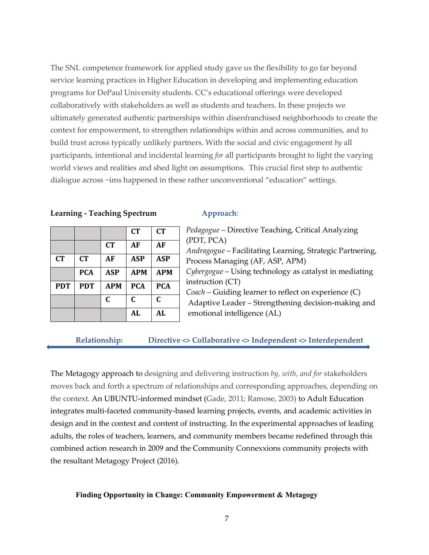The SNL competence framework for applied study gave us the flexibility to go far beyond service learning practices in Higher Education in developing and implementing education programs for DePaul University students. CC's educational offerings were developed collaboratively with stakeholders as well as students and teachers. In these projects we ultimately generated authentic partnerships within disenfranchised neighborhoods to create the context for empowerment, to strengthen relationships within and across communities, and to build trust across typically unlikely partners. With the social and civic engagement *by* all participants, intentional and incidental learning *for* all participants brought to light the varying world views and realities and shed light on assumptions. This crucial first step to authentic dialogue across ~ims happened in these rather unconventional "education" settings.

### **Learning - Teaching Spectrum Approach**:

|            |            |            | <b>CT</b>  | <b>CT</b>  |
|------------|------------|------------|------------|------------|
|            |            | CT         | AF         | AF         |
| CT         | <b>CT</b>  | AF         | <b>ASP</b> | ASP        |
|            | <b>PCA</b> | <b>ASP</b> | <b>APM</b> | <b>APM</b> |
| <b>PDT</b> | <b>PDT</b> | <b>APM</b> | <b>PCA</b> | <b>PCA</b> |
|            |            | C          | C          | C          |
|            |            |            | <b>AL</b>  | AL         |

| Pedagogue – Directive Teaching, Critical Analyzing        |
|-----------------------------------------------------------|
| (PDT, PCA)                                                |
| Andragogue – Facilitating Learning, Strategic Partnering, |
| Process Managing (AF, ASP, APM)                           |
| Cybergogue – Using technology as catalyst in mediating    |
| instruction (CT)                                          |
| Coach – Guiding learner to reflect on experience (C)      |
| Adaptive Leader – Strengthening decision-making and       |
| emotional intelligence (AL)                               |

# **Relationship: Directive <> Collaborative <> Independent <> Interdependent**

The Metagogy approach to designing and delivering instruction *by, with, and for* stakeholders moves back and forth a spectrum of relationships and corresponding approaches, depending on the context. An UBUNTU-informed mindset (Gade, 2011*;* Ramose, 2003) to Adult Education integrates multi-faceted community-based learning projects, events, and academic activities in design and in the context and content of instructing. In the experimental approaches of leading adults, the roles of teachers, learners, and community members became redefined through this combined action research in 2009 and the Community Connexxions community projects with the resultant Metagogy Project (2016).

# **Finding Opportunity in Change: Community Empowerment & Metagogy**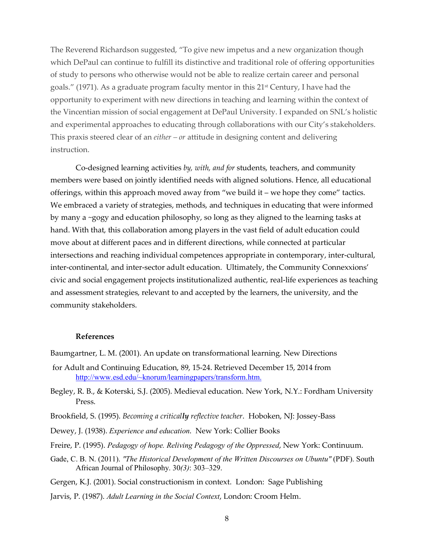The Reverend Richardson suggested, "To give new impetus and a new organization though which DePaul can continue to fulfill its distinctive and traditional role of offering opportunities of study to persons who otherwise would not be able to realize certain career and personal goals." (1971). As a graduate program faculty mentor in this  $21<sup>st</sup>$  Century, I have had the opportunity to experiment with new directions in teaching and learning within the context of the Vincentian mission of social engagement at DePaul University. I expanded on SNL's holistic and experimental approaches to educating through collaborations with our City's stakeholders. This praxis steered clear of an *either – or* attitude in designing content and delivering instruction.

Co-designed learning activities *by, with, and for* students, teachers, and community members were based on jointly identified needs with aligned solutions. Hence, all educational offerings, within this approach moved away from "we build it – we hope they come" tactics. We embraced a variety of strategies, methods, and techniques in educating that were informed by many a ~gogy and education philosophy, so long as they aligned to the learning tasks at hand. With that, this collaboration among players in the vast field of adult education could move about at different paces and in different directions, while connected at particular intersections and reaching individual competences appropriate in contemporary, inter-cultural, inter-continental, and inter-sector adult education. Ultimately, the Community Connexxions' civic and social engagement projects institutionalized authentic, real-life experiences as teaching and assessment strategies, relevant to and accepted by the learners, the university, and the community stakeholders.

#### **References**

- Baumgartner, L. M. (2001). An update on transformational learning. New Directions
- for Adult and Continuing Education, 89, 15-24. Retrieved December 15, 2014 from http://www.esd.edu/~knorum/learningpapers/transform.htm.
- Begley, R. B., & Koterski, S.J. (2005). Medieval education. New York, N.Y.: Fordham University Press.
- Brookfield, S. (1995). *Becoming a critically reflective teacher*. Hoboken, NJ: Jossey-Bass
- Dewey, J. (1938). *Experience and education*. New York: Collier Books
- Freire, P. (1995). *Pedagogy of hope. Reliving Pedagogy of the Oppressed*, New York: Continuum.
- Gade, C. B. N. (2011). *"The Historical Development of the Written Discourses on Ubuntu"* (PDF). South African Journal of Philosophy. 30*(3)*: 303–329.

Gergen, K.J. (2001). Social constructionism in context. London: Sage Publishing

Jarvis, P. (1987). *Adult Learning in the Social Context*, London: Croom Helm.